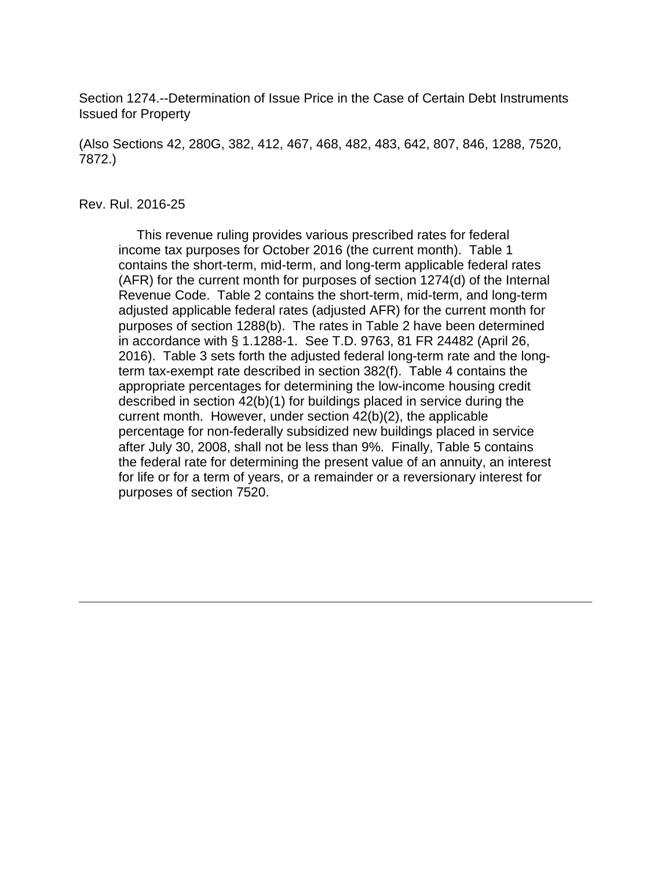Section 1274.--Determination of Issue Price in the Case of Certain Debt Instruments Issued for Property

(Also Sections 42, 280G, 382, 412, 467, 468, 482, 483, 642, 807, 846, 1288, 7520, 7872.)

#### Rev. Rul. 2016-25

 This revenue ruling provides various prescribed rates for federal income tax purposes for October 2016 (the current month). Table 1 contains the short-term, mid-term, and long-term applicable federal rates (AFR) for the current month for purposes of section 1274(d) of the Internal Revenue Code. Table 2 contains the short-term, mid-term, and long-term adjusted applicable federal rates (adjusted AFR) for the current month for purposes of section 1288(b). The rates in Table 2 have been determined in accordance with § 1.1288-1. See T.D. 9763, 81 FR 24482 (April 26, 2016). Table 3 sets forth the adjusted federal long-term rate and the longterm tax-exempt rate described in section 382(f). Table 4 contains the appropriate percentages for determining the low-income housing credit described in section 42(b)(1) for buildings placed in service during the current month. However, under section 42(b)(2), the applicable percentage for non-federally subsidized new buildings placed in service after July 30, 2008, shall not be less than 9%. Finally, Table 5 contains the federal rate for determining the present value of an annuity, an interest for life or for a term of years, or a remainder or a reversionary interest for purposes of section 7520.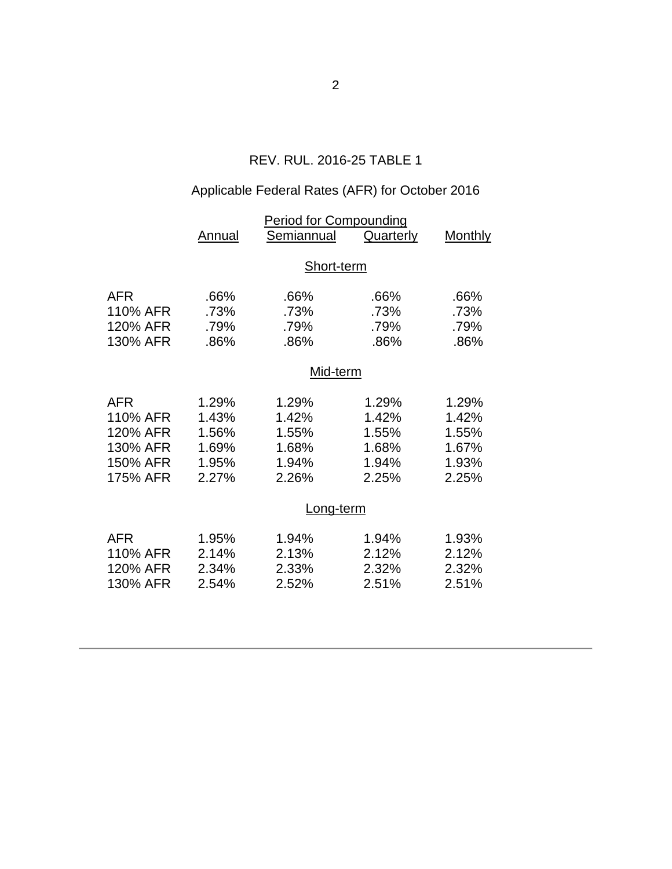## REV. RUL. 2016-25 TABLE 1

# Applicable Federal Rates (AFR) for October 2016

|            | <b>Period for Compounding</b> |            |                  |                |  |  |
|------------|-------------------------------|------------|------------------|----------------|--|--|
|            | <b>Annual</b>                 | Semiannual | <b>Quarterly</b> | <b>Monthly</b> |  |  |
|            |                               |            |                  |                |  |  |
|            | Short-term                    |            |                  |                |  |  |
| <b>AFR</b> | .66%                          | .66%       | .66%             | .66%           |  |  |
|            |                               |            |                  |                |  |  |
| 110% AFR   | .73%                          | .73%       | .73%             | .73%           |  |  |
| 120% AFR   | .79%                          | .79%       | .79%             | .79%           |  |  |
| 130% AFR   | .86%                          | .86%       | .86%             | .86%           |  |  |
|            |                               |            |                  |                |  |  |
|            | Mid-term                      |            |                  |                |  |  |
| <b>AFR</b> | 1.29%                         | 1.29%      | 1.29%            | 1.29%          |  |  |
| 110% AFR   | 1.43%                         | 1.42%      | 1.42%            | 1.42%          |  |  |
| 120% AFR   | 1.56%                         | 1.55%      | 1.55%            | 1.55%          |  |  |
| 130% AFR   | 1.69%                         | 1.68%      | 1.68%            | 1.67%          |  |  |
| 150% AFR   | 1.95%                         | 1.94%      | 1.94%            | 1.93%          |  |  |
| 175% AFR   | 2.27%                         | 2.26%      | 2.25%            | 2.25%          |  |  |
|            |                               |            |                  |                |  |  |
|            | Long-term                     |            |                  |                |  |  |
|            |                               |            |                  |                |  |  |
| <b>AFR</b> | 1.95%                         | 1.94%      | 1.94%            | 1.93%          |  |  |
| 110% AFR   | 2.14%                         | 2.13%      | 2.12%            | 2.12%          |  |  |
| 120% AFR   | 2.34%                         | 2.33%      | 2.32%            | 2.32%          |  |  |
| 130% AFR   | 2.54%                         | 2.52%      | 2.51%            | 2.51%          |  |  |
|            |                               |            |                  |                |  |  |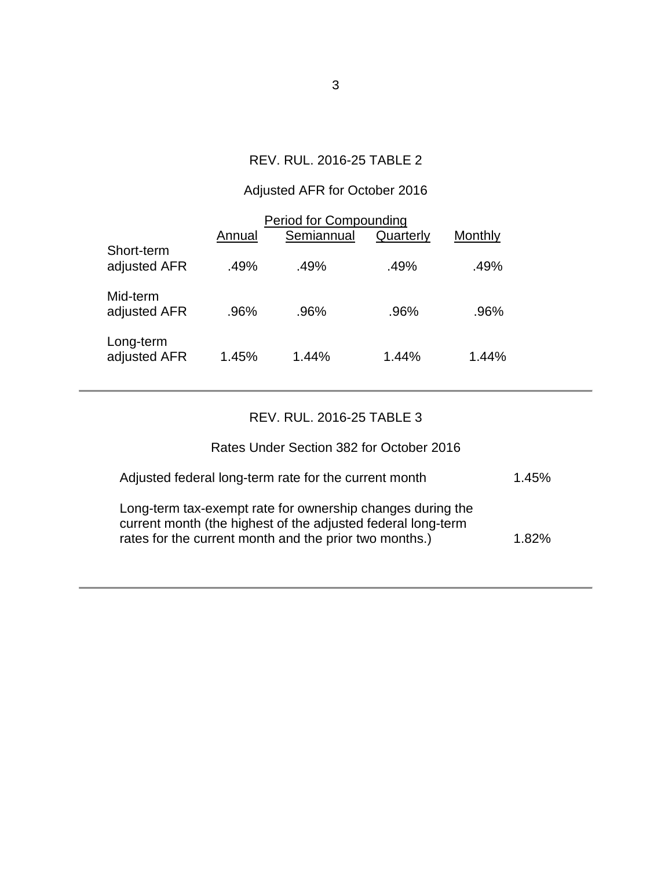## REV. RUL. 2016-25 TABLE 2

## Adjusted AFR for October 2016

| <b>Period for Compounding</b> |        |            |           |         |  |  |  |
|-------------------------------|--------|------------|-----------|---------|--|--|--|
|                               | Annual | Semiannual | Quarterly | Monthly |  |  |  |
| Short-term<br>adjusted AFR    | .49%   | .49%       | .49%      | .49%    |  |  |  |
| Mid-term<br>adjusted AFR      | .96%   | .96%       | .96%      | .96%    |  |  |  |
| Long-term<br>adjusted AFR     | 1.45%  | $1.44\%$   | 1.44%     | 1.44%   |  |  |  |

## REV. RUL. 2016-25 TABLE 3

### Rates Under Section 382 for October 2016

| Adjusted federal long-term rate for the current month                                                                                                                                | 1.45% |
|--------------------------------------------------------------------------------------------------------------------------------------------------------------------------------------|-------|
| Long-term tax-exempt rate for ownership changes during the<br>current month (the highest of the adjusted federal long-term<br>rates for the current month and the prior two months.) | 1.82% |